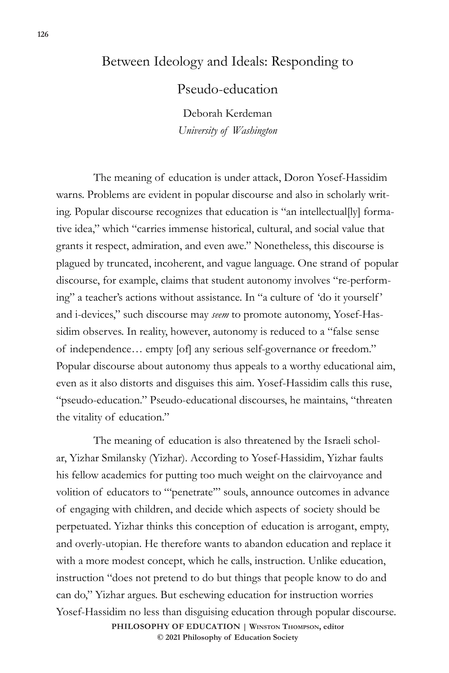## Between Ideology and Ideals: Responding to

Pseudo-education

Deborah Kerdeman *University of Washington*

The meaning of education is under attack, Doron Yosef-Hassidim warns. Problems are evident in popular discourse and also in scholarly writing. Popular discourse recognizes that education is "an intellectual[ly] formative idea," which "carries immense historical, cultural, and social value that grants it respect, admiration, and even awe." Nonetheless, this discourse is plagued by truncated, incoherent, and vague language. One strand of popular discourse, for example, claims that student autonomy involves "re-performing" a teacher's actions without assistance. In "a culture of 'do it yourself ' and i-devices," such discourse may *seem* to promote autonomy, Yosef-Hassidim observes. In reality, however, autonomy is reduced to a "false sense of independence… empty [of] any serious self-governance or freedom." Popular discourse about autonomy thus appeals to a worthy educational aim, even as it also distorts and disguises this aim. Yosef-Hassidim calls this ruse, "pseudo-education." Pseudo-educational discourses, he maintains, "threaten the vitality of education."

The meaning of education is also threatened by the Israeli scholar, Yizhar Smilansky (Yizhar). According to Yosef-Hassidim, Yizhar faults his fellow academics for putting too much weight on the clairvoyance and volition of educators to "'penetrate'" souls, announce outcomes in advance of engaging with children, and decide which aspects of society should be perpetuated. Yizhar thinks this conception of education is arrogant, empty, and overly-utopian. He therefore wants to abandon education and replace it with a more modest concept, which he calls, instruction. Unlike education, instruction "does not pretend to do but things that people know to do and can do," Yizhar argues. But eschewing education for instruction worries Yosef-Hassidim no less than disguising education through popular discourse. **PHILOSOPHY OF EDUCATION | Winston Thompson, editor © 2021 Philosophy of Education Society**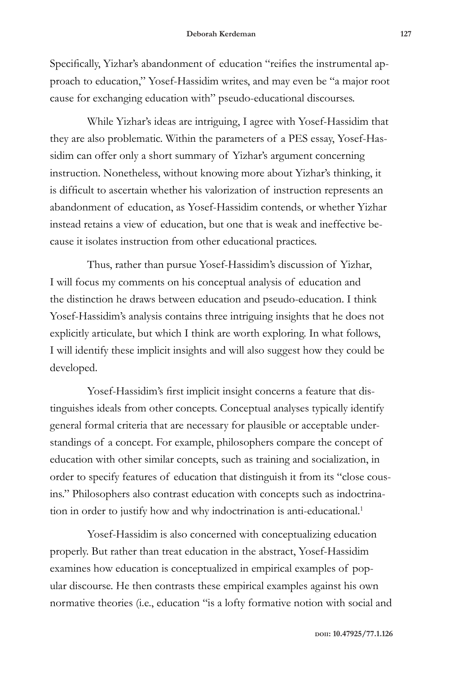Specifically, Yizhar's abandonment of education "reifies the instrumental approach to education," Yosef-Hassidim writes, and may even be "a major root cause for exchanging education with" pseudo-educational discourses.

While Yizhar's ideas are intriguing, I agree with Yosef-Hassidim that they are also problematic. Within the parameters of a PES essay, Yosef-Hassidim can offer only a short summary of Yizhar's argument concerning instruction. Nonetheless, without knowing more about Yizhar's thinking, it is difficult to ascertain whether his valorization of instruction represents an abandonment of education, as Yosef-Hassidim contends, or whether Yizhar instead retains a view of education, but one that is weak and ineffective because it isolates instruction from other educational practices.

Thus, rather than pursue Yosef-Hassidim's discussion of Yizhar, I will focus my comments on his conceptual analysis of education and the distinction he draws between education and pseudo-education. I think Yosef-Hassidim's analysis contains three intriguing insights that he does not explicitly articulate, but which I think are worth exploring. In what follows, I will identify these implicit insights and will also suggest how they could be developed.

Yosef-Hassidim's first implicit insight concerns a feature that distinguishes ideals from other concepts. Conceptual analyses typically identify general formal criteria that are necessary for plausible or acceptable understandings of a concept. For example, philosophers compare the concept of education with other similar concepts, such as training and socialization, in order to specify features of education that distinguish it from its "close cousins." Philosophers also contrast education with concepts such as indoctrination in order to justify how and why indoctrination is anti-educational.<sup>1</sup>

Yosef-Hassidim is also concerned with conceptualizing education properly. But rather than treat education in the abstract, Yosef-Hassidim examines how education is conceptualized in empirical examples of popular discourse. He then contrasts these empirical examples against his own normative theories (i.e., education "is a lofty formative notion with social and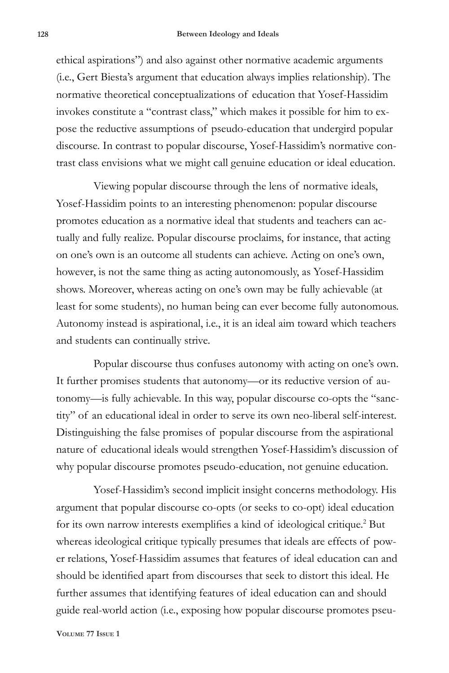ethical aspirations") and also against other normative academic arguments (i.e., Gert Biesta's argument that education always implies relationship). The normative theoretical conceptualizations of education that Yosef-Hassidim invokes constitute a "contrast class," which makes it possible for him to expose the reductive assumptions of pseudo-education that undergird popular discourse. In contrast to popular discourse, Yosef-Hassidim's normative contrast class envisions what we might call genuine education or ideal education.

Viewing popular discourse through the lens of normative ideals, Yosef-Hassidim points to an interesting phenomenon: popular discourse promotes education as a normative ideal that students and teachers can actually and fully realize. Popular discourse proclaims, for instance, that acting on one's own is an outcome all students can achieve. Acting on one's own, however, is not the same thing as acting autonomously, as Yosef-Hassidim shows. Moreover, whereas acting on one's own may be fully achievable (at least for some students), no human being can ever become fully autonomous. Autonomy instead is aspirational, i.e., it is an ideal aim toward which teachers and students can continually strive.

Popular discourse thus confuses autonomy with acting on one's own. It further promises students that autonomy—or its reductive version of autonomy—is fully achievable. In this way, popular discourse co-opts the "sanctity" of an educational ideal in order to serve its own neo-liberal self-interest. Distinguishing the false promises of popular discourse from the aspirational nature of educational ideals would strengthen Yosef-Hassidim's discussion of why popular discourse promotes pseudo-education, not genuine education.

Yosef-Hassidim's second implicit insight concerns methodology. His argument that popular discourse co-opts (or seeks to co-opt) ideal education for its own narrow interests exemplifies a kind of ideological critique.<sup>2</sup> But whereas ideological critique typically presumes that ideals are effects of power relations, Yosef-Hassidim assumes that features of ideal education can and should be identified apart from discourses that seek to distort this ideal. He further assumes that identifying features of ideal education can and should guide real-world action (i.e., exposing how popular discourse promotes pseu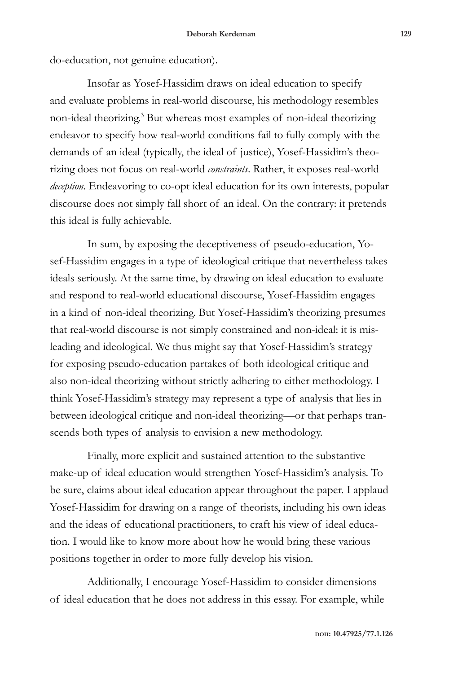do-education, not genuine education).

Insofar as Yosef-Hassidim draws on ideal education to specify and evaluate problems in real-world discourse, his methodology resembles non-ideal theorizing.3 But whereas most examples of non-ideal theorizing endeavor to specify how real-world conditions fail to fully comply with the demands of an ideal (typically, the ideal of justice), Yosef-Hassidim's theorizing does not focus on real-world *constraints*. Rather, it exposes real-world *deception.* Endeavoring to co-opt ideal education for its own interests, popular discourse does not simply fall short of an ideal. On the contrary: it pretends this ideal is fully achievable.

In sum, by exposing the deceptiveness of pseudo-education, Yosef-Hassidim engages in a type of ideological critique that nevertheless takes ideals seriously. At the same time, by drawing on ideal education to evaluate and respond to real-world educational discourse, Yosef-Hassidim engages in a kind of non-ideal theorizing. But Yosef-Hassidim's theorizing presumes that real-world discourse is not simply constrained and non-ideal: it is misleading and ideological. We thus might say that Yosef-Hassidim's strategy for exposing pseudo-education partakes of both ideological critique and also non-ideal theorizing without strictly adhering to either methodology. I think Yosef-Hassidim's strategy may represent a type of analysis that lies in between ideological critique and non-ideal theorizing—or that perhaps transcends both types of analysis to envision a new methodology.

Finally, more explicit and sustained attention to the substantive make-up of ideal education would strengthen Yosef-Hassidim's analysis. To be sure, claims about ideal education appear throughout the paper. I applaud Yosef-Hassidim for drawing on a range of theorists, including his own ideas and the ideas of educational practitioners, to craft his view of ideal education. I would like to know more about how he would bring these various positions together in order to more fully develop his vision.

Additionally, I encourage Yosef-Hassidim to consider dimensions of ideal education that he does not address in this essay. For example, while